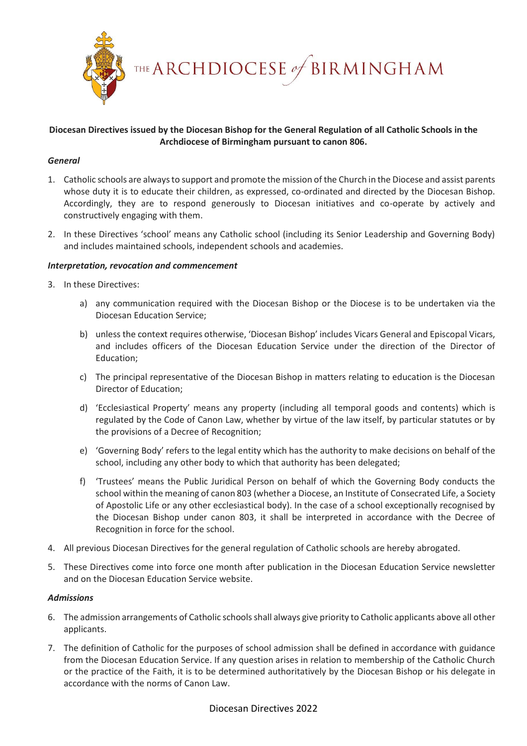

THE ARCHDIOCESE of BIRMINGHAM

# **Diocesan Directives issued by the Diocesan Bishop for the General Regulation of all Catholic Schools in the Archdiocese of Birmingham pursuant to canon 806.**

### *General*

- 1. Catholic schools are always to support and promote the mission of the Church in the Diocese and assist parents whose duty it is to educate their children, as expressed, co-ordinated and directed by the Diocesan Bishop. Accordingly, they are to respond generously to Diocesan initiatives and co-operate by actively and constructively engaging with them.
- 2. In these Directives 'school' means any Catholic school (including its Senior Leadership and Governing Body) and includes maintained schools, independent schools and academies.

### *Interpretation, revocation and commencement*

- 3. In these Directives:
	- a) any communication required with the Diocesan Bishop or the Diocese is to be undertaken via the Diocesan Education Service;
	- b) unless the context requires otherwise, 'Diocesan Bishop' includes Vicars General and Episcopal Vicars, and includes officers of the Diocesan Education Service under the direction of the Director of Education;
	- c) The principal representative of the Diocesan Bishop in matters relating to education is the Diocesan Director of Education;
	- d) 'Ecclesiastical Property' means any property (including all temporal goods and contents) which is regulated by the Code of Canon Law, whether by virtue of the law itself, by particular statutes or by the provisions of a Decree of Recognition;
	- e) 'Governing Body' refers to the legal entity which has the authority to make decisions on behalf of the school, including any other body to which that authority has been delegated;
	- f) 'Trustees' means the Public Juridical Person on behalf of which the Governing Body conducts the school within the meaning of canon 803 (whether a Diocese, an Institute of Consecrated Life, a Society of Apostolic Life or any other ecclesiastical body). In the case of a school exceptionally recognised by the Diocesan Bishop under canon 803, it shall be interpreted in accordance with the Decree of Recognition in force for the school.
- 4. All previous Diocesan Directives for the general regulation of Catholic schools are hereby abrogated.
- 5. These Directives come into force one month after publication in the Diocesan Education Service newsletter and on the Diocesan Education Service website.

#### *Admissions*

- 6. The admission arrangements of Catholic schools shall always give priority to Catholic applicants above all other applicants.
- 7. The definition of Catholic for the purposes of school admission shall be defined in accordance with guidance from the Diocesan Education Service. If any question arises in relation to membership of the Catholic Church or the practice of the Faith, it is to be determined authoritatively by the Diocesan Bishop or his delegate in accordance with the norms of Canon Law.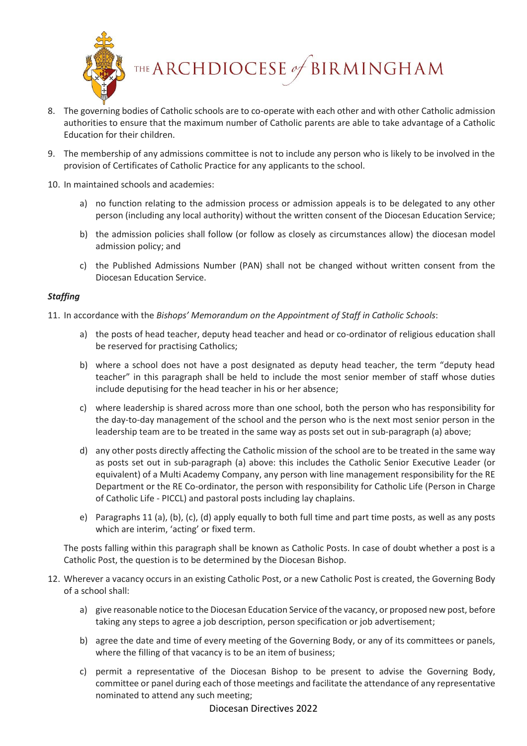

- 8. The governing bodies of Catholic schools are to co-operate with each other and with other Catholic admission authorities to ensure that the maximum number of Catholic parents are able to take advantage of a Catholic Education for their children.
- 9. The membership of any admissions committee is not to include any person who is likely to be involved in the provision of Certificates of Catholic Practice for any applicants to the school.
- 10. In maintained schools and academies:
	- a) no function relating to the admission process or admission appeals is to be delegated to any other person (including any local authority) without the written consent of the Diocesan Education Service;
	- b) the admission policies shall follow (or follow as closely as circumstances allow) the diocesan model admission policy; and
	- c) the Published Admissions Number (PAN) shall not be changed without written consent from the Diocesan Education Service.

## *Staffing*

- 11. In accordance with the *Bishops' Memorandum on the Appointment of Staff in Catholic Schools*:
	- a) the posts of head teacher, deputy head teacher and head or co-ordinator of religious education shall be reserved for practising Catholics;
	- b) where a school does not have a post designated as deputy head teacher, the term "deputy head teacher" in this paragraph shall be held to include the most senior member of staff whose duties include deputising for the head teacher in his or her absence;
	- c) where leadership is shared across more than one school, both the person who has responsibility for the day-to-day management of the school and the person who is the next most senior person in the leadership team are to be treated in the same way as posts set out in sub-paragraph (a) above;
	- d) any other posts directly affecting the Catholic mission of the school are to be treated in the same way as posts set out in sub-paragraph (a) above: this includes the Catholic Senior Executive Leader (or equivalent) of a Multi Academy Company, any person with line management responsibility for the RE Department or the RE Co-ordinator, the person with responsibility for Catholic Life (Person in Charge of Catholic Life - PICCL) and pastoral posts including lay chaplains.
	- e) Paragraphs 11 (a), (b), (c), (d) apply equally to both full time and part time posts, as well as any posts which are interim, 'acting' or fixed term.

The posts falling within this paragraph shall be known as Catholic Posts. In case of doubt whether a post is a Catholic Post, the question is to be determined by the Diocesan Bishop.

- 12. Wherever a vacancy occurs in an existing Catholic Post, or a new Catholic Post is created, the Governing Body of a school shall:
	- a) give reasonable notice to the Diocesan Education Service of the vacancy, or proposed new post, before taking any steps to agree a job description, person specification or job advertisement;
	- b) agree the date and time of every meeting of the Governing Body, or any of its committees or panels, where the filling of that vacancy is to be an item of business;
	- c) permit a representative of the Diocesan Bishop to be present to advise the Governing Body, committee or panel during each of those meetings and facilitate the attendance of any representative nominated to attend any such meeting;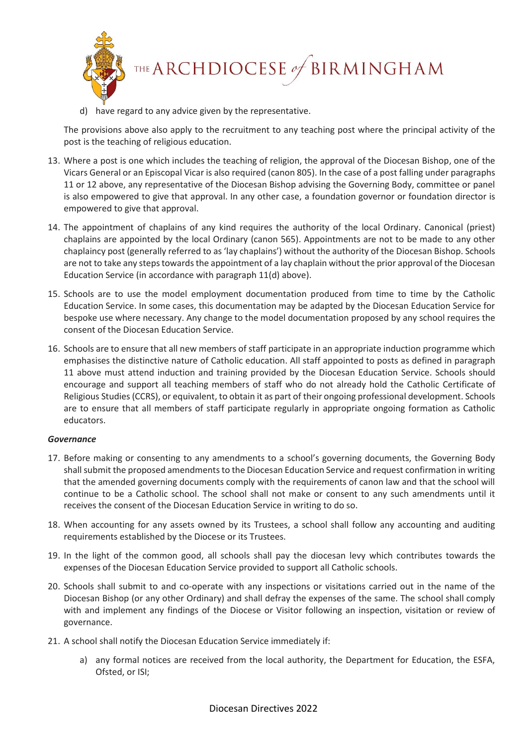

d) have regard to any advice given by the representative.

The provisions above also apply to the recruitment to any teaching post where the principal activity of the post is the teaching of religious education.

- 13. Where a post is one which includes the teaching of religion, the approval of the Diocesan Bishop, one of the Vicars General or an Episcopal Vicar is also required (canon 805). In the case of a post falling under paragraphs 11 or 12 above, any representative of the Diocesan Bishop advising the Governing Body, committee or panel is also empowered to give that approval. In any other case, a foundation governor or foundation director is empowered to give that approval.
- 14. The appointment of chaplains of any kind requires the authority of the local Ordinary. Canonical (priest) chaplains are appointed by the local Ordinary (canon 565). Appointments are not to be made to any other chaplaincy post (generally referred to as 'lay chaplains') without the authority of the Diocesan Bishop. Schools are not to take any steps towards the appointment of a lay chaplain without the prior approval of the Diocesan Education Service (in accordance with paragraph 11(d) above).
- 15. Schools are to use the model employment documentation produced from time to time by the Catholic Education Service. In some cases, this documentation may be adapted by the Diocesan Education Service for bespoke use where necessary. Any change to the model documentation proposed by any school requires the consent of the Diocesan Education Service.
- 16. Schools are to ensure that all new members of staff participate in an appropriate induction programme which emphasises the distinctive nature of Catholic education. All staff appointed to posts as defined in paragraph 11 above must attend induction and training provided by the Diocesan Education Service. Schools should encourage and support all teaching members of staff who do not already hold the Catholic Certificate of Religious Studies (CCRS), or equivalent, to obtain it as part of their ongoing professional development. Schools are to ensure that all members of staff participate regularly in appropriate ongoing formation as Catholic educators.

#### *Governance*

- 17. Before making or consenting to any amendments to a school's governing documents, the Governing Body shall submit the proposed amendments to the Diocesan Education Service and request confirmation in writing that the amended governing documents comply with the requirements of canon law and that the school will continue to be a Catholic school. The school shall not make or consent to any such amendments until it receives the consent of the Diocesan Education Service in writing to do so.
- 18. When accounting for any assets owned by its Trustees, a school shall follow any accounting and auditing requirements established by the Diocese or its Trustees.
- 19. In the light of the common good, all schools shall pay the diocesan levy which contributes towards the expenses of the Diocesan Education Service provided to support all Catholic schools.
- 20. Schools shall submit to and co-operate with any inspections or visitations carried out in the name of the Diocesan Bishop (or any other Ordinary) and shall defray the expenses of the same. The school shall comply with and implement any findings of the Diocese or Visitor following an inspection, visitation or review of governance.
- 21. A school shall notify the Diocesan Education Service immediately if:
	- a) any formal notices are received from the local authority, the Department for Education, the ESFA, Ofsted, or ISI;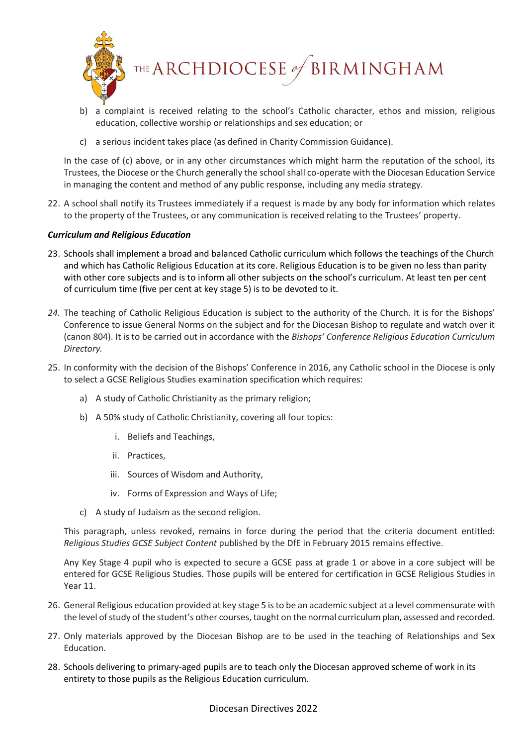

THE ARCHDIOCESE of BIRMINGHAM

- b) a complaint is received relating to the school's Catholic character, ethos and mission, religious education, collective worship or relationships and sex education; or
- c) a serious incident takes place (as defined in Charity Commission Guidance).

In the case of (c) above, or in any other circumstances which might harm the reputation of the school, its Trustees, the Diocese or the Church generally the school shall co-operate with the Diocesan Education Service in managing the content and method of any public response, including any media strategy.

22. A school shall notify its Trustees immediately if a request is made by any body for information which relates to the property of the Trustees, or any communication is received relating to the Trustees' property.

## *Curriculum and Religious Education*

- 23. Schools shall implement a broad and balanced Catholic curriculum which follows the teachings of the Church and which has Catholic Religious Education at its core. Religious Education is to be given no less than parity with other core subjects and is to inform all other subjects on the school's curriculum. At least ten per cent of curriculum time (five per cent at key stage 5) is to be devoted to it.
- *24.* The teaching of Catholic Religious Education is subject to the authority of the Church. It is for the Bishops' Conference to issue General Norms on the subject and for the Diocesan Bishop to regulate and watch over it (canon 804). It is to be carried out in accordance with the *Bishops' Conference Religious Education Curriculum Directory.*
- 25. In conformity with the decision of the Bishops' Conference in 2016, any Catholic school in the Diocese is only to select a GCSE Religious Studies examination specification which requires:
	- a) A study of Catholic Christianity as the primary religion;
	- b) A 50% study of Catholic Christianity, covering all four topics:
		- i. Beliefs and Teachings,
		- ii. Practices,
		- iii. Sources of Wisdom and Authority,
		- iv. Forms of Expression and Ways of Life;
	- c) A study of Judaism as the second religion.

This paragraph, unless revoked, remains in force during the period that the criteria document entitled: *Religious Studies GCSE Subject Content* published by the DfE in February 2015 remains effective.

Any Key Stage 4 pupil who is expected to secure a GCSE pass at grade 1 or above in a core subject will be entered for GCSE Religious Studies. Those pupils will be entered for certification in GCSE Religious Studies in Year 11.

- 26. General Religious education provided at key stage 5 is to be an academic subject at a level commensurate with the level of study of the student's other courses, taught on the normal curriculum plan, assessed and recorded.
- 27. Only materials approved by the Diocesan Bishop are to be used in the teaching of Relationships and Sex Education.
- 28. Schools delivering to primary-aged pupils are to teach only the Diocesan approved scheme of work in its entirety to those pupils as the Religious Education curriculum.